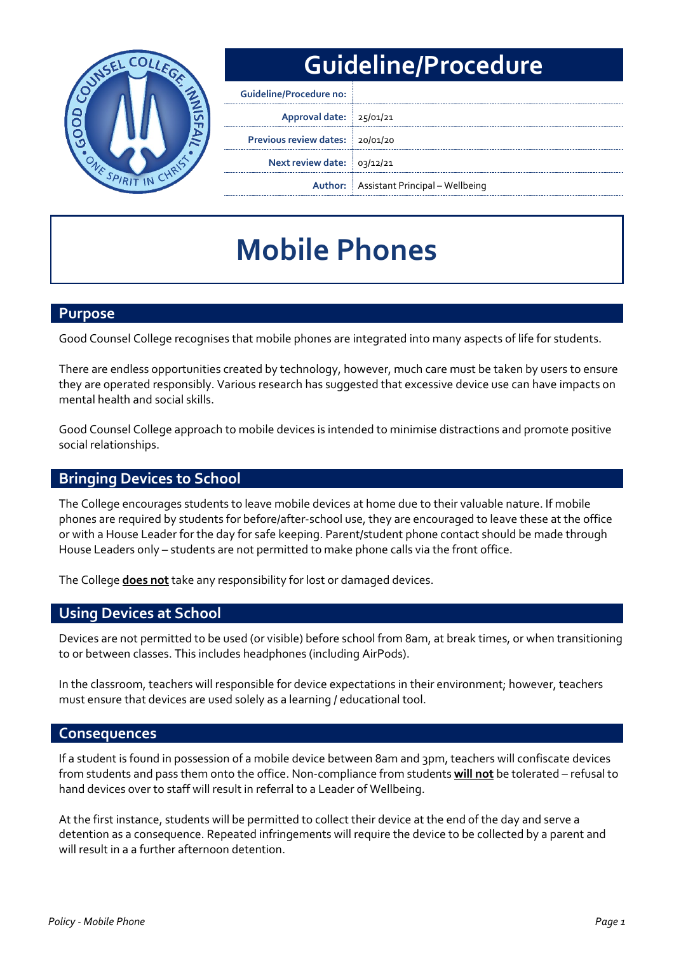

## **Guideline/Procedure**

| <b>Guideline/Procedure no:</b>  |                                                |
|---------------------------------|------------------------------------------------|
| Approval date: 25/01/21         |                                                |
| Previous review dates: 20/01/20 |                                                |
| Next review date: 03/12/21      |                                                |
|                                 | <b>Author:</b> Assistant Principal – Wellbeing |

# **Mobile Phones**

#### **Purpose**

Good Counsel College recognises that mobile phones are integrated into many aspects of life for students.

There are endless opportunities created by technology, however, much care must be taken by users to ensure they are operated responsibly. Various research has suggested that excessive device use can have impacts on mental health and social skills.

Good Counsel College approach to mobile devices is intended to minimise distractions and promote positive social relationships.

#### **Bringing Devices to School**

The College encourages students to leave mobile devices at home due to their valuable nature. If mobile phones are required by students for before/after-school use, they are encouraged to leave these at the office or with a House Leader for the day for safe keeping. Parent/student phone contact should be made through House Leaders only – students are not permitted to make phone calls via the front office.

The College **does not** take any responsibility for lost or damaged devices.

#### **Using Devices at School**

Devices are not permitted to be used (or visible) before school from 8am, at break times, or when transitioning to or between classes. This includes headphones (including AirPods).

In the classroom, teachers will responsible for device expectations in their environment; however, teachers must ensure that devices are used solely as a learning / educational tool.

#### **Consequences**

If a student is found in possession of a mobile device between 8am and 3pm, teachers will confiscate devices from students and pass them onto the office. Non-compliance from students **will not** be tolerated – refusal to hand devices over to staff will result in referral to a Leader of Wellbeing.

At the first instance, students will be permitted to collect their device at the end of the day and serve a detention as a consequence. Repeated infringements will require the device to be collected by a parent and will result in a a further afternoon detention.